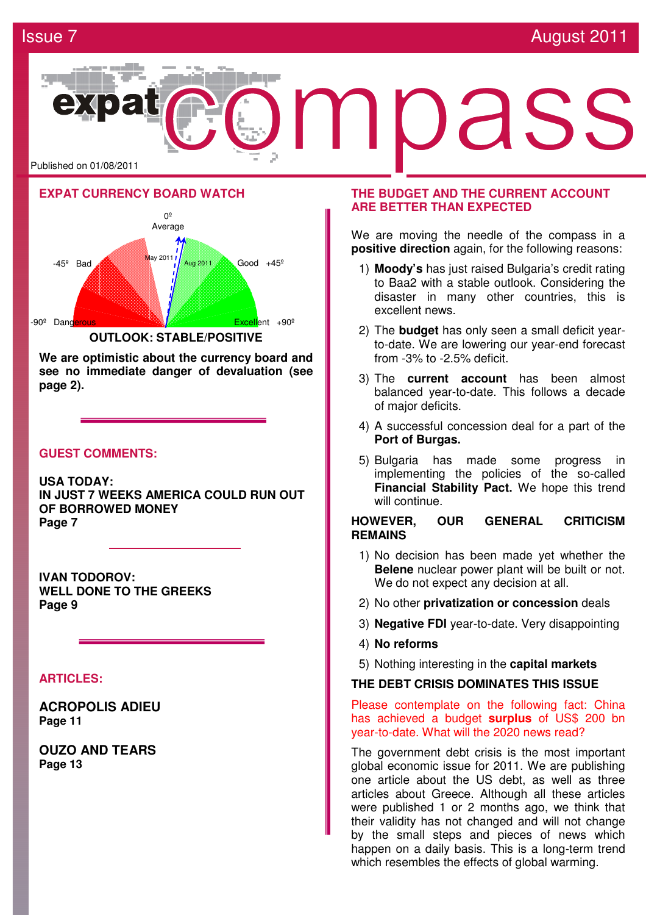## **Issue 7 August 2011 Issue 7** August 2011







**We are optimistic about the currency board and see no immediate danger of devaluation (see page 2).**

## **GUEST COMMENTS:**

**USA TODAY: IN JUST 7 WEEKS AMERICA COULD RUN OUT OF BORROWED MONEY Page 7** 

**IVAN TODOROV: WELL DONE TO THE GREEKS Page 9** 

### **ARTICLES:**

**ACROPOLIS ADIEU Page 11**

**OUZO AND TEARS Page 13**

## **THE BUDGET AND THE CURRENT ACCOUNT ARE BETTER THAN EXPECTED**

We are moving the needle of the compass in a **positive direction** again, for the following reasons:

- 1) **Moody's** has just raised Bulgaria's credit rating to Baa2 with a stable outlook. Considering the disaster in many other countries, this is excellent news.
- 2) The **budget** has only seen a small deficit yearto-date. We are lowering our year-end forecast from -3% to -2.5% deficit.
- 3) The **current account** has been almost balanced year-to-date. This follows a decade of major deficits.
- 4) A successful concession deal for a part of the **Port of Burgas.**
- 5) Bulgaria has made some progress in implementing the policies of the so-called **Financial Stability Pact.** We hope this trend will continue.

### **HOWEVER, OUR GENERAL CRITICISM REMAINS**

- 1) No decision has been made yet whether the **Belene** nuclear power plant will be built or not. We do not expect any decision at all.
- 2) No other **privatization or concession** deals
- 3) **Negative FDI** year-to-date. Very disappointing
- 4) **No reforms**
- 5) Nothing interesting in the **capital markets**

### **THE DEBT CRISIS DOMINATES THIS ISSUE**

Please contemplate on the following fact: China has achieved a budget **surplus** of US\$ 200 bn year-to-date. What will the 2020 news read?

The government debt crisis is the most important global economic issue for 2011. We are publishing one article about the US debt, as well as three articles about Greece. Although all these articles were published 1 or 2 months ago, we think that their validity has not changed and will not change by the small steps and pieces of news which happen on a daily basis. This is a long-term trend which resembles the effects of global warming.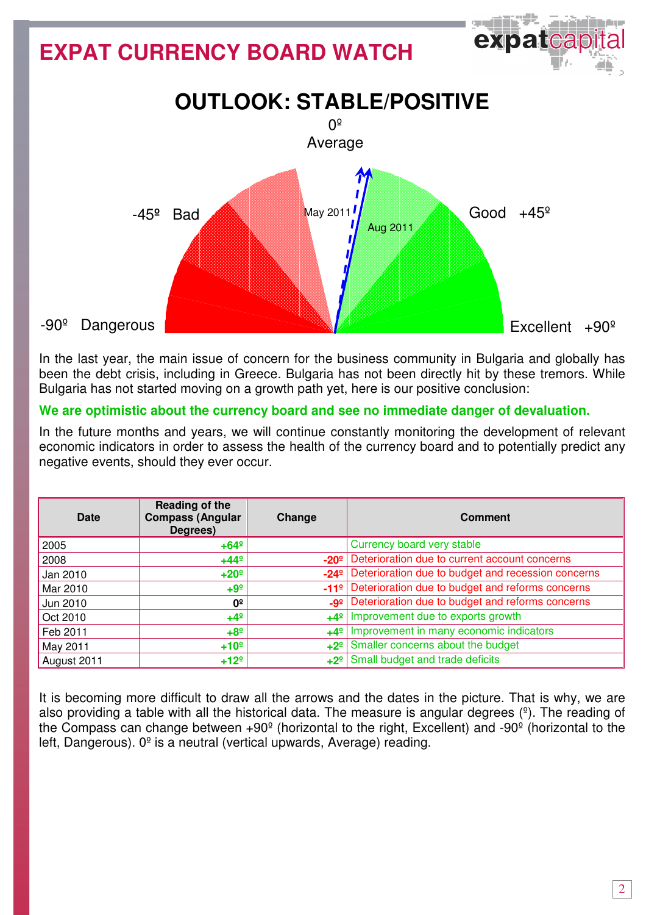## **EXPAT CURRENCY BOARD WATCH**



exparca

In the last year, the main issue of concern for the business community in Bulgaria and globally has been the debt crisis, including in Greece. Bulgaria has not been directly hit by these tremors. While Bulgaria has not started moving on a growth path yet, here is our positive conclusion:

## **We are optimistic about the currency board and see no immediate danger of devaluation.**

In the future months and years, we will continue constantly monitoring the development of relevant economic indicators in order to assess the health of the currency board and to potentially predict any negative events, should they ever occur.

| Date        | Reading of the<br><b>Compass (Angular</b><br>Degrees) | Change        | <b>Comment</b>                                                    |
|-------------|-------------------------------------------------------|---------------|-------------------------------------------------------------------|
| 2005        | $+64^{\circ}$                                         |               | Currency board very stable                                        |
| 2008        | $+44^{\circ}$                                         | $-20o$        | Deterioration due to current account concerns                     |
| Jan 2010    | $+20°$                                                | $-24^{\circ}$ | Deterioration due to budget and recession concerns                |
| Mar 2010    | $+9^{\circ}$                                          |               | -11 <sup>º</sup> Deterioration due to budget and reforms concerns |
| Jun 2010    | 0º                                                    | $-9°$         | Deterioration due to budget and reforms concerns                  |
| Oct 2010    | $+4^{\circ}$                                          |               | $+4^{\circ}$ Improvement due to exports growth                    |
| Feb 2011    | $+8°$                                                 | $+4^{\circ}$  | Improvement in many economic indicators                           |
| May 2011    | $+10°$                                                | $+2^{\circ}$  | Smaller concerns about the budget                                 |
| August 2011 | $+12°$                                                |               | +2 <sup>o</sup> Small budget and trade deficits                   |

It is becoming more difficult to draw all the arrows and the dates in the picture. That is why, we are also providing a table with all the historical data. The measure is angular degrees  $(2)$ . The reading of the Compass can change between +90º (horizontal to the right, Excellent) and -90º (horizontal to the left, Dangerous).  $0^{\circ}$  is a neutral (vertical upwards, Average) reading.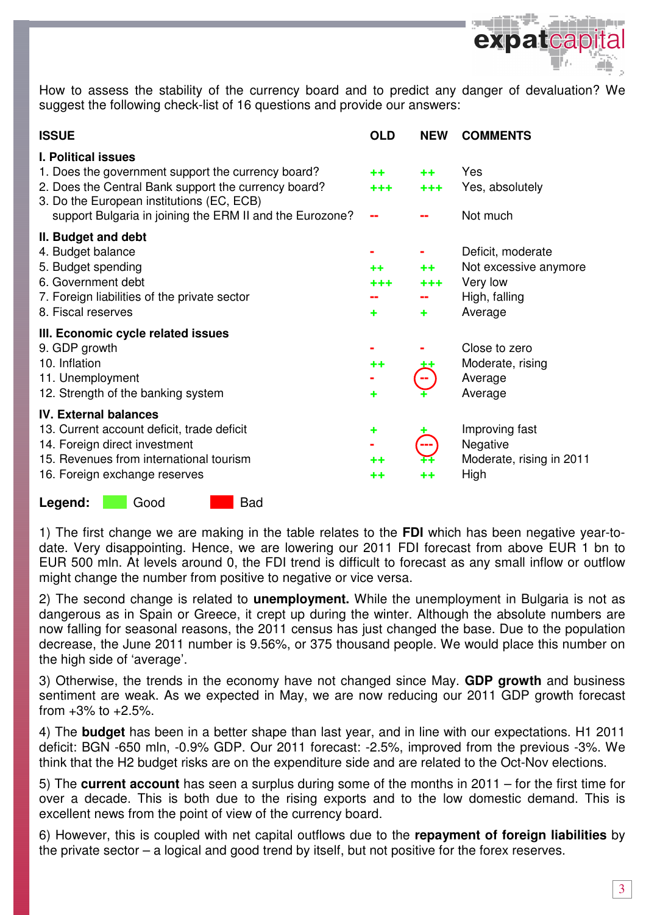

How to assess the stability of the currency board and to predict any danger of devaluation? We suggest the following check-list of 16 questions and provide our answers:

| <b>ISSUE</b>                                                                                                                                                                                                                                      | <b>OLD</b>        | <b>NEW</b>        | <b>COMMENTS</b>                                                                    |
|---------------------------------------------------------------------------------------------------------------------------------------------------------------------------------------------------------------------------------------------------|-------------------|-------------------|------------------------------------------------------------------------------------|
| <b>I. Political issues</b><br>1. Does the government support the currency board?<br>2. Does the Central Bank support the currency board?<br>3. Do the European institutions (EC, ECB)<br>support Bulgaria in joining the ERM II and the Eurozone? | $+ +$<br>+++      | $+ +$<br>$+ + +$  | Yes<br>Yes, absolutely<br>Not much                                                 |
| II. Budget and debt<br>4. Budget balance<br>5. Budget spending<br>6. Government debt<br>7. Foreign liabilities of the private sector<br>8. Fiscal reserves                                                                                        | $+ +$<br>***<br>٠ | $+ +$<br>+++<br>٠ | Deficit, moderate<br>Not excessive anymore<br>Very low<br>High, falling<br>Average |
| III. Economic cycle related issues<br>9. GDP growth<br>10. Inflation<br>11. Unemployment<br>12. Strength of the banking system                                                                                                                    | ++<br>٠           |                   | Close to zero<br>Moderate, rising<br>Average<br>Average                            |
| <b>IV. External balances</b><br>13. Current account deficit, trade deficit<br>14. Foreign direct investment<br>15. Revenues from international tourism<br>16. Foreign exchange reserves                                                           | ٠<br>$+ +$<br>++  | ---<br>++         | Improving fast<br>Negative<br>Moderate, rising in 2011<br>High                     |

Legend: Good Bad

1) The first change we are making in the table relates to the **FDI** which has been negative year-todate. Very disappointing. Hence, we are lowering our 2011 FDI forecast from above EUR 1 bn to EUR 500 mln. At levels around 0, the FDI trend is difficult to forecast as any small inflow or outflow might change the number from positive to negative or vice versa.

2) The second change is related to **unemployment.** While the unemployment in Bulgaria is not as dangerous as in Spain or Greece, it crept up during the winter. Although the absolute numbers are now falling for seasonal reasons, the 2011 census has just changed the base. Due to the population decrease, the June 2011 number is 9.56%, or 375 thousand people. We would place this number on the high side of 'average'.

3) Otherwise, the trends in the economy have not changed since May. **GDP growth** and business sentiment are weak. As we expected in May, we are now reducing our 2011 GDP growth forecast from  $+3\%$  to  $+2.5\%$ .

4) The **budget** has been in a better shape than last year, and in line with our expectations. H1 2011 deficit: BGN -650 mln, -0.9% GDP. Our 2011 forecast: -2.5%, improved from the previous -3%. We think that the H2 budget risks are on the expenditure side and are related to the Oct-Nov elections.

5) The **current account** has seen a surplus during some of the months in 2011 – for the first time for over a decade. This is both due to the rising exports and to the low domestic demand. This is excellent news from the point of view of the currency board.

6) However, this is coupled with net capital outflows due to the **repayment of foreign liabilities** by the private sector – a logical and good trend by itself, but not positive for the forex reserves.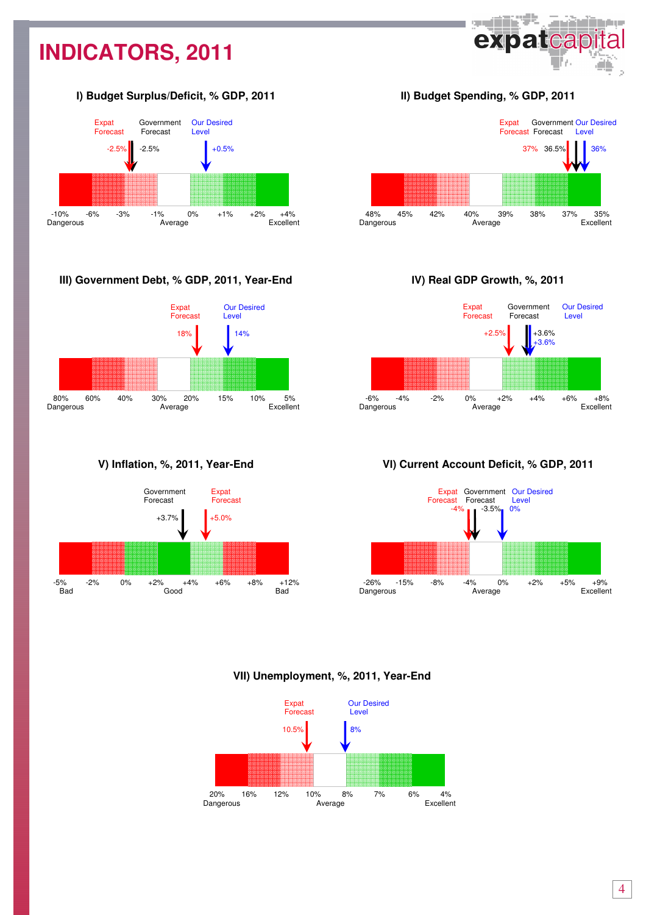# **INDICATORS, 2011**

## І**) Budget Surplus/Deficit, % GDP, 2011**



## **III) Government Debt, % GDP, 2011, Year-End**



## **V) Inflation, %, 2011, Year-End**



ІІ**) Budget Spending, % GDP, 2011** 

**SHEET!** 

expatcap

adina a



### І**V) Real GDP Growth, %, 2011**



## **V**І**) Current Account Deficit, % GDP, 2011**



### **VII) Unemployment, %, 2011, Year-End**

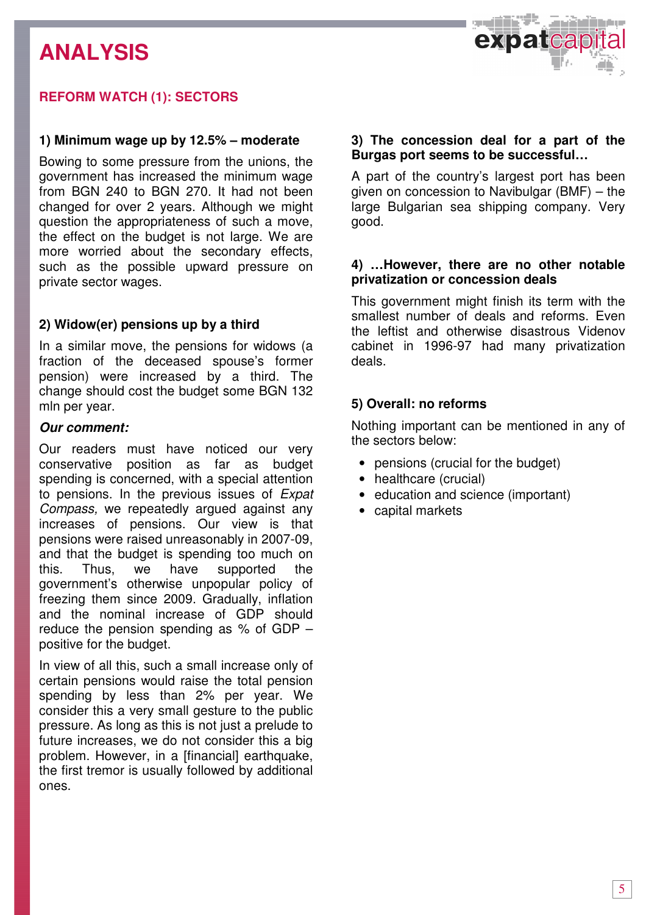# **ANALYSIS**



## **REFORM WATCH (1): SECTORS**

### **1) Minimum wage up by 12.5% – moderate**

Bowing to some pressure from the unions, the government has increased the minimum wage from BGN 240 to BGN 270. It had not been changed for over 2 years. Although we might question the appropriateness of such a move, the effect on the budget is not large. We are more worried about the secondary effects, such as the possible upward pressure on private sector wages.

## **2) Widow(er) pensions up by a third**

In a similar move, the pensions for widows (a fraction of the deceased spouse's former pension) were increased by a third. The change should cost the budget some BGN 132 mln per year.

### **Our comment:**

Our readers must have noticed our very conservative position as far as budget spending is concerned, with a special attention to pensions. In the previous issues of Expat Compass, we repeatedly argued against any increases of pensions. Our view is that pensions were raised unreasonably in 2007-09, and that the budget is spending too much on this. Thus, we have supported the government's otherwise unpopular policy of freezing them since 2009. Gradually, inflation and the nominal increase of GDP should reduce the pension spending as % of GDP – positive for the budget.

In view of all this, such a small increase only of certain pensions would raise the total pension spending by less than 2% per year. We consider this a very small gesture to the public pressure. As long as this is not just a prelude to future increases, we do not consider this a big problem. However, in a [financial] earthquake, the first tremor is usually followed by additional ones.

## **3) The concession deal for a part of the Burgas port seems to be successful…**

A part of the country's largest port has been given on concession to Navibulgar (BMF) – the large Bulgarian sea shipping company. Very good.

## **4) …However, there are no other notable privatization or concession deals**

This government might finish its term with the smallest number of deals and reforms. Even the leftist and otherwise disastrous Videnov cabinet in 1996-97 had many privatization deals.

## **5) Overall: no reforms**

Nothing important can be mentioned in any of the sectors below:

- pensions (crucial for the budget)
- healthcare (crucial)
- education and science (important)
- capital markets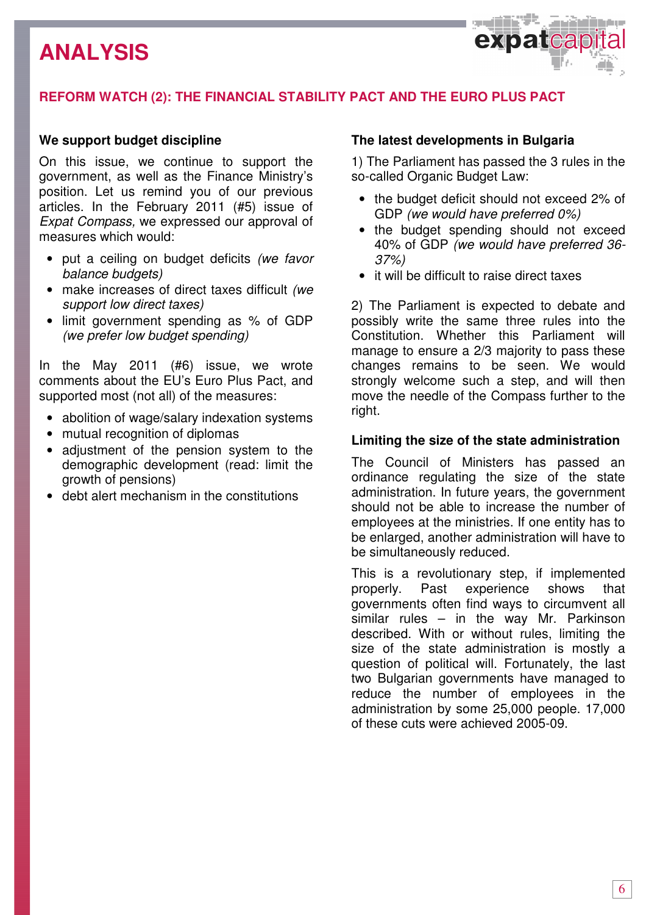## **ANALYSIS**



## **REFORM WATCH (2): THE FINANCIAL STABILITY PACT AND THE EURO PLUS PACT**

## **We support budget discipline**

On this issue, we continue to support the government, as well as the Finance Ministry's position. Let us remind you of our previous articles. In the February 2011 (#5) issue of Expat Compass, we expressed our approval of measures which would:

- put a ceiling on budget deficits (we favor balance budgets)
- make increases of direct taxes difficult (we support low direct taxes)
- limit government spending as % of GDP (we prefer low budget spending)

In the May 2011 (#6) issue, we wrote comments about the EU's Euro Plus Pact, and supported most (not all) of the measures:

- abolition of wage/salary indexation systems
- mutual recognition of diplomas
- adjustment of the pension system to the demographic development (read: limit the growth of pensions)
- debt alert mechanism in the constitutions

## **The latest developments in Bulgaria**

1) The Parliament has passed the 3 rules in the so-called Organic Budget Law:

- the budget deficit should not exceed 2% of GDP (we would have preferred 0%)
- the budget spending should not exceed 40% of GDP (we would have preferred 36- 37%)
- it will be difficult to raise direct taxes

2) The Parliament is expected to debate and possibly write the same three rules into the Constitution. Whether this Parliament will manage to ensure a 2/3 majority to pass these changes remains to be seen. We would strongly welcome such a step, and will then move the needle of the Compass further to the right.

## **Limiting the size of the state administration**

The Council of Ministers has passed an ordinance regulating the size of the state administration. In future years, the government should not be able to increase the number of employees at the ministries. If one entity has to be enlarged, another administration will have to be simultaneously reduced.

This is a revolutionary step, if implemented properly. Past experience shows that governments often find ways to circumvent all similar rules – in the way Mr. Parkinson described. With or without rules, limiting the size of the state administration is mostly a question of political will. Fortunately, the last two Bulgarian governments have managed to reduce the number of employees in the administration by some 25,000 people. 17,000 of these cuts were achieved 2005-09.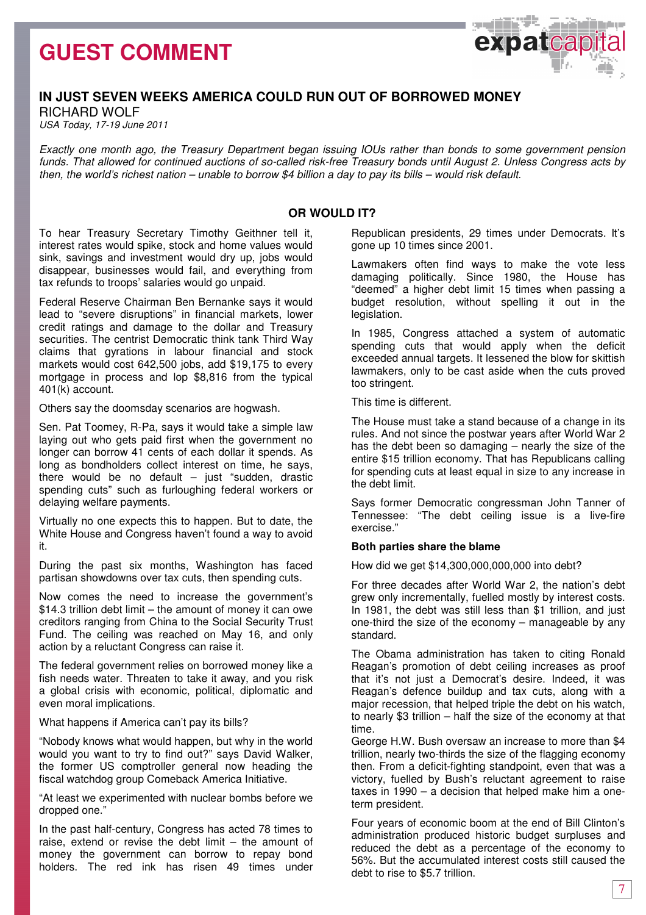## **GUEST COMMENT**



## **IN JUST SEVEN WEEKS AMERICA COULD RUN OUT OF BORROWED MONEY**

RICHARD WOLF USA Today, 17-19 June 2011

Exactly one month ago, the Treasury Department began issuing IOUs rather than bonds to some government pension funds. That allowed for continued auctions of so-called risk-free Treasury bonds until August 2. Unless Congress acts by then, the world's richest nation – unable to borrow \$4 billion a day to pay its bills – would risk default.

### **OR WOULD IT?**

To hear Treasury Secretary Timothy Geithner tell it, interest rates would spike, stock and home values would sink, savings and investment would dry up, jobs would disappear, businesses would fail, and everything from tax refunds to troops' salaries would go unpaid.

Federal Reserve Chairman Ben Bernanke says it would lead to "severe disruptions" in financial markets, lower credit ratings and damage to the dollar and Treasury securities. The centrist Democratic think tank Third Way claims that gyrations in labour financial and stock markets would cost 642,500 jobs, add \$19,175 to every mortgage in process and lop \$8,816 from the typical 401(k) account.

Others say the doomsday scenarios are hogwash.

Sen. Pat Toomey, R-Pa, says it would take a simple law laying out who gets paid first when the government no longer can borrow 41 cents of each dollar it spends. As long as bondholders collect interest on time, he says, there would be no default  $-$  just "sudden, drastic spending cuts" such as furloughing federal workers or delaying welfare payments.

Virtually no one expects this to happen. But to date, the White House and Congress haven't found a way to avoid it.

During the past six months, Washington has faced partisan showdowns over tax cuts, then spending cuts.

Now comes the need to increase the government's \$14.3 trillion debt limit – the amount of money it can owe creditors ranging from China to the Social Security Trust Fund. The ceiling was reached on May 16, and only action by a reluctant Congress can raise it.

The federal government relies on borrowed money like a fish needs water. Threaten to take it away, and you risk a global crisis with economic, political, diplomatic and even moral implications.

What happens if America can't pay its bills?

"Nobody knows what would happen, but why in the world would you want to try to find out?" says David Walker, the former US comptroller general now heading the fiscal watchdog group Comeback America Initiative.

"At least we experimented with nuclear bombs before we dropped one."

In the past half-century, Congress has acted 78 times to raise, extend or revise the debt limit – the amount of money the government can borrow to repay bond holders. The red ink has risen 49 times under Republican presidents, 29 times under Democrats. It's gone up 10 times since 2001.

Lawmakers often find ways to make the vote less damaging politically. Since 1980, the House has "deemed" a higher debt limit 15 times when passing a budget resolution, without spelling it out in the legislation.

In 1985, Congress attached a system of automatic spending cuts that would apply when the deficit exceeded annual targets. It lessened the blow for skittish lawmakers, only to be cast aside when the cuts proved too stringent.

This time is different.

The House must take a stand because of a change in its rules. And not since the postwar years after World War 2 has the debt been so damaging – nearly the size of the entire \$15 trillion economy. That has Republicans calling for spending cuts at least equal in size to any increase in the debt limit.

Says former Democratic congressman John Tanner of Tennessee: "The debt ceiling issue is a live-fire exercise."

### **Both parties share the blame**

How did we get \$14,300,000,000,000 into debt?

For three decades after World War 2, the nation's debt grew only incrementally, fuelled mostly by interest costs. In 1981, the debt was still less than \$1 trillion, and just one-third the size of the economy – manageable by any standard.

The Obama administration has taken to citing Ronald Reagan's promotion of debt ceiling increases as proof that it's not just a Democrat's desire. Indeed, it was Reagan's defence buildup and tax cuts, along with a major recession, that helped triple the debt on his watch, to nearly \$3 trillion – half the size of the economy at that time.

George H.W. Bush oversaw an increase to more than \$4 trillion, nearly two-thirds the size of the flagging economy then. From a deficit-fighting standpoint, even that was a victory, fuelled by Bush's reluctant agreement to raise taxes in 1990 – a decision that helped make him a oneterm president.

Four years of economic boom at the end of Bill Clinton's administration produced historic budget surpluses and reduced the debt as a percentage of the economy to 56%. But the accumulated interest costs still caused the debt to rise to \$5.7 trillion.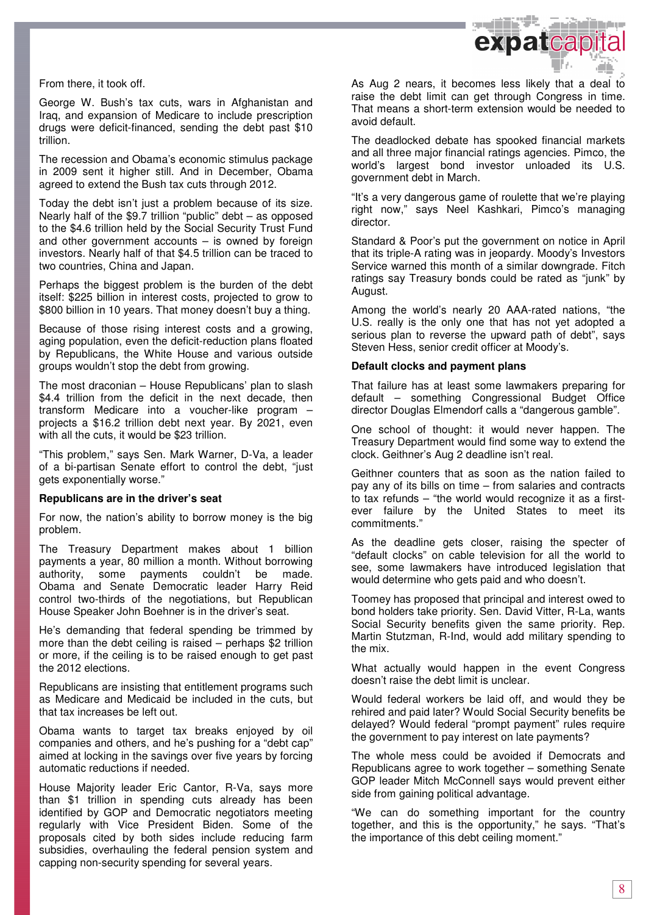

From there, it took off.

George W. Bush's tax cuts, wars in Afghanistan and Iraq, and expansion of Medicare to include prescription drugs were deficit-financed, sending the debt past \$10 trillion.

The recession and Obama's economic stimulus package in 2009 sent it higher still. And in December, Obama agreed to extend the Bush tax cuts through 2012.

Today the debt isn't just a problem because of its size. Nearly half of the \$9.7 trillion "public" debt – as opposed to the \$4.6 trillion held by the Social Security Trust Fund and other government accounts  $-$  is owned by foreign investors. Nearly half of that \$4.5 trillion can be traced to two countries, China and Japan.

Perhaps the biggest problem is the burden of the debt itself: \$225 billion in interest costs, projected to grow to \$800 billion in 10 years. That money doesn't buy a thing.

Because of those rising interest costs and a growing, aging population, even the deficit-reduction plans floated by Republicans, the White House and various outside groups wouldn't stop the debt from growing.

The most draconian – House Republicans' plan to slash \$4.4 trillion from the deficit in the next decade, then transform Medicare into a voucher-like program – projects a \$16.2 trillion debt next year. By 2021, even with all the cuts, it would be \$23 trillion.

"This problem," says Sen. Mark Warner, D-Va, a leader of a bi-partisan Senate effort to control the debt, "just gets exponentially worse."

### **Republicans are in the driver's seat**

For now, the nation's ability to borrow money is the big problem.

The Treasury Department makes about 1 billion payments a year, 80 million a month. Without borrowing authority, some payments couldn't be made. Obama and Senate Democratic leader Harry Reid control two-thirds of the negotiations, but Republican House Speaker John Boehner is in the driver's seat.

He's demanding that federal spending be trimmed by more than the debt ceiling is raised – perhaps \$2 trillion or more, if the ceiling is to be raised enough to get past the 2012 elections.

Republicans are insisting that entitlement programs such as Medicare and Medicaid be included in the cuts, but that tax increases be left out.

Obama wants to target tax breaks enjoyed by oil companies and others, and he's pushing for a "debt cap" aimed at locking in the savings over five years by forcing automatic reductions if needed.

House Majority leader Eric Cantor, R-Va, says more than \$1 trillion in spending cuts already has been identified by GOP and Democratic negotiators meeting regularly with Vice President Biden. Some of the proposals cited by both sides include reducing farm subsidies, overhauling the federal pension system and capping non-security spending for several years.

As Aug 2 nears, it becomes less likely that a deal to raise the debt limit can get through Congress in time. That means a short-term extension would be needed to avoid default.

The deadlocked debate has spooked financial markets and all three major financial ratings agencies. Pimco, the world's largest bond investor unloaded its U.S. government debt in March.

"It's a very dangerous game of roulette that we're playing right now," says Neel Kashkari, Pimco's managing director.

Standard & Poor's put the government on notice in April that its triple-A rating was in jeopardy. Moody's Investors Service warned this month of a similar downgrade. Fitch ratings say Treasury bonds could be rated as "junk" by August.

Among the world's nearly 20 AAA-rated nations, "the U.S. really is the only one that has not yet adopted a serious plan to reverse the upward path of debt", says Steven Hess, senior credit officer at Moody's.

### **Default clocks and payment plans**

That failure has at least some lawmakers preparing for default – something Congressional Budget Office director Douglas Elmendorf calls a "dangerous gamble".

One school of thought: it would never happen. The Treasury Department would find some way to extend the clock. Geithner's Aug 2 deadline isn't real.

Geithner counters that as soon as the nation failed to pay any of its bills on time – from salaries and contracts to tax refunds – "the world would recognize it as a firstever failure by the United States to meet its commitments."

As the deadline gets closer, raising the specter of "default clocks" on cable television for all the world to see, some lawmakers have introduced legislation that would determine who gets paid and who doesn't.

Toomey has proposed that principal and interest owed to bond holders take priority. Sen. David Vitter, R-La, wants Social Security benefits given the same priority. Rep. Martin Stutzman, R-Ind, would add military spending to the mix.

What actually would happen in the event Congress doesn't raise the debt limit is unclear.

Would federal workers be laid off, and would they be rehired and paid later? Would Social Security benefits be delayed? Would federal "prompt payment" rules require the government to pay interest on late payments?

The whole mess could be avoided if Democrats and Republicans agree to work together – something Senate GOP leader Mitch McConnell says would prevent either side from gaining political advantage.

"We can do something important for the country together, and this is the opportunity," he says. "That's the importance of this debt ceiling moment."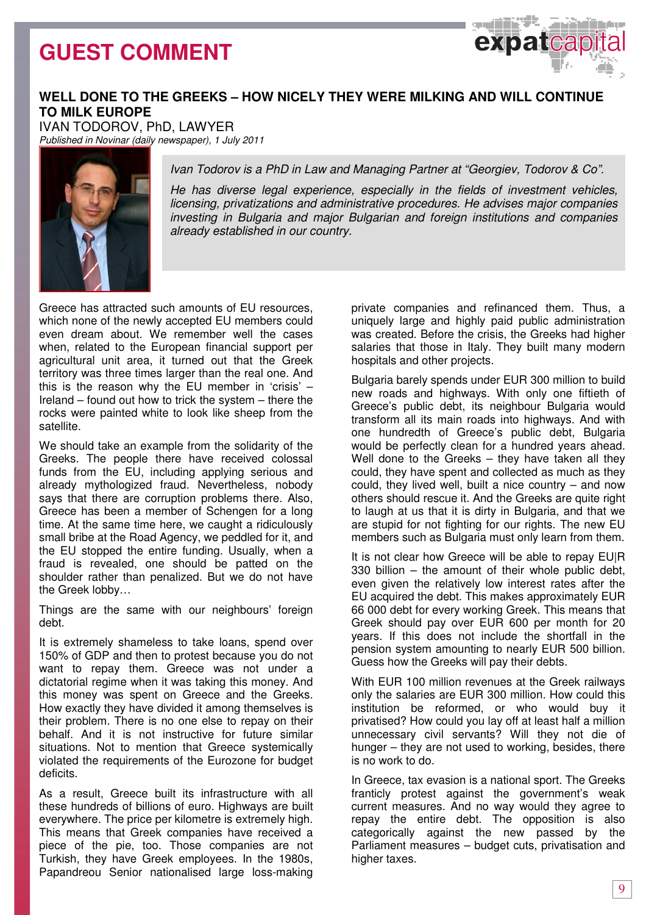## **GUEST COMMENT**



## **WELL DONE TO THE GREEKS – HOW NICELY THEY WERE MILKING AND WILL CONTINUE TO MILK EUROPE**

IVAN TODOROV, PhD, LAWYER

Published in Novinar (daily newspaper), 1 July 2011



Ivan Todorov is a PhD in Law and Managing Partner at "Georgiev, Todorov & Co".

He has diverse legal experience, especially in the fields of investment vehicles, licensing, privatizations and administrative procedures. He advises major companies investing in Bulgaria and major Bulgarian and foreign institutions and companies already established in our country.

Greece has attracted such amounts of EU resources, which none of the newly accepted EU members could even dream about. We remember well the cases when, related to the European financial support per agricultural unit area, it turned out that the Greek territory was three times larger than the real one. And this is the reason why the EU member in 'crisis'  $-$ Ireland – found out how to trick the system – there the rocks were painted white to look like sheep from the satellite.

We should take an example from the solidarity of the Greeks. The people there have received colossal funds from the EU, including applying serious and already mythologized fraud. Nevertheless, nobody says that there are corruption problems there. Also, Greece has been a member of Schengen for a long time. At the same time here, we caught a ridiculously small bribe at the Road Agency, we peddled for it, and the EU stopped the entire funding. Usually, when a fraud is revealed, one should be patted on the shoulder rather than penalized. But we do not have the Greek lobby…

Things are the same with our neighbours' foreign debt.

It is extremely shameless to take loans, spend over 150% of GDP and then to protest because you do not want to repay them. Greece was not under a dictatorial regime when it was taking this money. And this money was spent on Greece and the Greeks. How exactly they have divided it among themselves is their problem. There is no one else to repay on their behalf. And it is not instructive for future similar situations. Not to mention that Greece systemically violated the requirements of the Eurozone for budget deficits.

As a result, Greece built its infrastructure with all these hundreds of billions of euro. Highways are built everywhere. The price per kilometre is extremely high. This means that Greek companies have received a piece of the pie, too. Those companies are not Turkish, they have Greek employees. In the 1980s, Papandreou Senior nationalised large loss-making

private companies and refinanced them. Thus, a uniquely large and highly paid public administration was created. Before the crisis, the Greeks had higher salaries that those in Italy. They built many modern hospitals and other projects.

Bulgaria barely spends under EUR 300 million to build new roads and highways. With only one fiftieth of Greece's public debt, its neighbour Bulgaria would transform all its main roads into highways. And with one hundredth of Greece's public debt, Bulgaria would be perfectly clean for a hundred years ahead. Well done to the Greeks – they have taken all they could, they have spent and collected as much as they could, they lived well, built a nice country – and now others should rescue it. And the Greeks are quite right to laugh at us that it is dirty in Bulgaria, and that we are stupid for not fighting for our rights. The new EU members such as Bulgaria must only learn from them.

It is not clear how Greece will be able to repay EU|R 330 billion – the amount of their whole public debt, even given the relatively low interest rates after the EU acquired the debt. This makes approximately EUR 66 000 debt for every working Greek. This means that Greek should pay over EUR 600 per month for 20 years. If this does not include the shortfall in the pension system amounting to nearly EUR 500 billion. Guess how the Greeks will pay their debts.

With EUR 100 million revenues at the Greek railways only the salaries are EUR 300 million. How could this institution be reformed, or who would buy it privatised? How could you lay off at least half a million unnecessary civil servants? Will they not die of hunger – they are not used to working, besides, there is no work to do.

In Greece, tax evasion is a national sport. The Greeks franticly protest against the government's weak current measures. And no way would they agree to repay the entire debt. The opposition is also categorically against the new passed by the Parliament measures – budget cuts, privatisation and higher taxes.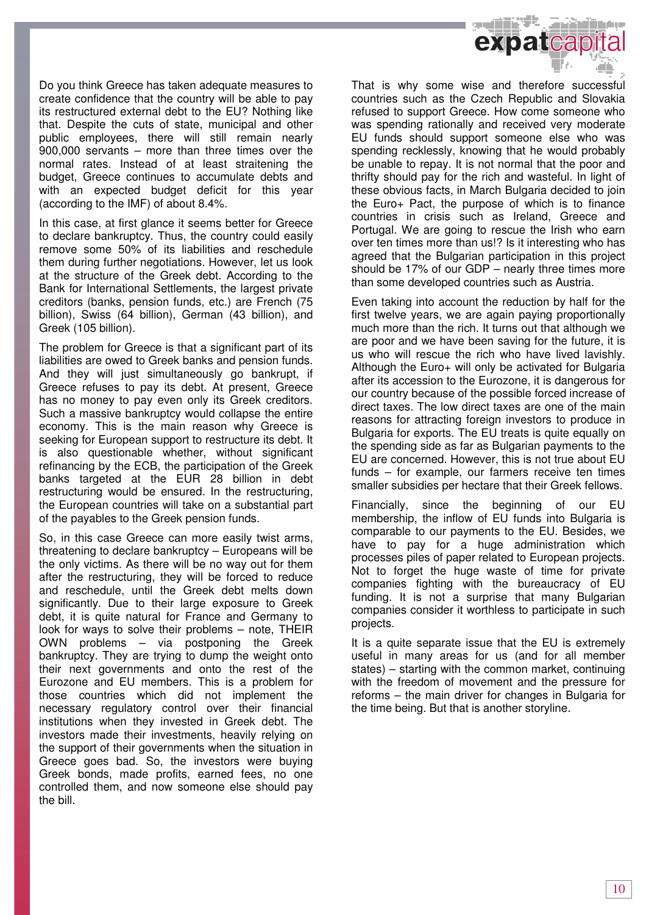

Do you think Greece has taken adequate measures to create confidence that the country will be able to pay its restructured external debt to the EU? Nothing like that. Despite the cuts of state, municipal and other public employees, there will still remain nearly 900,000 servants – more than three times over the normal rates. Instead of at least straitening the budget, Greece continues to accumulate debts and with an expected budget deficit for this year (according to the IMF) of about 8.4%.

In this case, at first glance it seems better for Greece to declare bankruptcy. Thus, the country could easily remove some 50% of its liabilities and reschedule them during further negotiations. However, let us look at the structure of the Greek debt. According to the Bank for International Settlements, the largest private creditors (banks, pension funds, etc.) are French (75 billion), Swiss (64 billion), German (43 billion), and Greek (105 billion).

The problem for Greece is that a significant part of its liabilities are owed to Greek banks and pension funds. And they will just simultaneously go bankrupt, if Greece refuses to pay its debt. At present, Greece has no money to pay even only its Greek creditors. Such a massive bankruptcy would collapse the entire economy. This is the main reason why Greece is seeking for European support to restructure its debt. It is also questionable whether, without significant refinancing by the ECB, the participation of the Greek banks targeted at the EUR 28 billion in debt restructuring would be ensured. In the restructuring, the European countries will take on a substantial part of the payables to the Greek pension funds.

So, in this case Greece can more easily twist arms, threatening to declare bankruptcy – Europeans will be the only victims. As there will be no way out for them after the restructuring, they will be forced to reduce and reschedule, until the Greek debt melts down significantly. Due to their large exposure to Greek debt, it is quite natural for France and Germany to look for ways to solve their problems – note, THEIR OWN problems – via postponing the Greek bankruptcy. They are trying to dump the weight onto their next governments and onto the rest of the Eurozone and EU members. This is a problem for those countries which did not implement the necessary regulatory control over their financial institutions when they invested in Greek debt. The investors made their investments, heavily relying on the support of their governments when the situation in Greece goes bad. So, the investors were buying Greek bonds, made profits, earned fees, no one controlled them, and now someone else should pay the bill.

That is why some wise and therefore successful countries such as the Czech Republic and Slovakia refused to support Greece. How come someone who was spending rationally and received very moderate EU funds should support someone else who was spending recklessly, knowing that he would probably be unable to repay. It is not normal that the poor and thrifty should pay for the rich and wasteful. In light of these obvious facts, in March Bulgaria decided to join the Euro+ Pact, the purpose of which is to finance countries in crisis such as Ireland, Greece and Portugal. We are going to rescue the Irish who earn over ten times more than us!? Is it interesting who has agreed that the Bulgarian participation in this project should be 17% of our GDP – nearly three times more than some developed countries such as Austria.

Even taking into account the reduction by half for the first twelve years, we are again paying proportionally much more than the rich. It turns out that although we are poor and we have been saving for the future, it is us who will rescue the rich who have lived lavishly. Although the Euro+ will only be activated for Bulgaria after its accession to the Eurozone, it is dangerous for our country because of the possible forced increase of direct taxes. The low direct taxes are one of the main reasons for attracting foreign investors to produce in Bulgaria for exports. The EU treats is quite equally on the spending side as far as Bulgarian payments to the EU are concerned. However, this is not true about EU funds – for example, our farmers receive ten times smaller subsidies per hectare that their Greek fellows.

Financially, since the beginning of our EU membership, the inflow of EU funds into Bulgaria is comparable to our payments to the EU. Besides, we have to pay for a huge administration which processes piles of paper related to European projects. Not to forget the huge waste of time for private companies fighting with the bureaucracy of EU funding. It is not a surprise that many Bulgarian companies consider it worthless to participate in such projects.

It is a quite separate issue that the EU is extremely useful in many areas for us (and for all member states) – starting with the common market, continuing with the freedom of movement and the pressure for reforms – the main driver for changes in Bulgaria for the time being. But that is another storyline.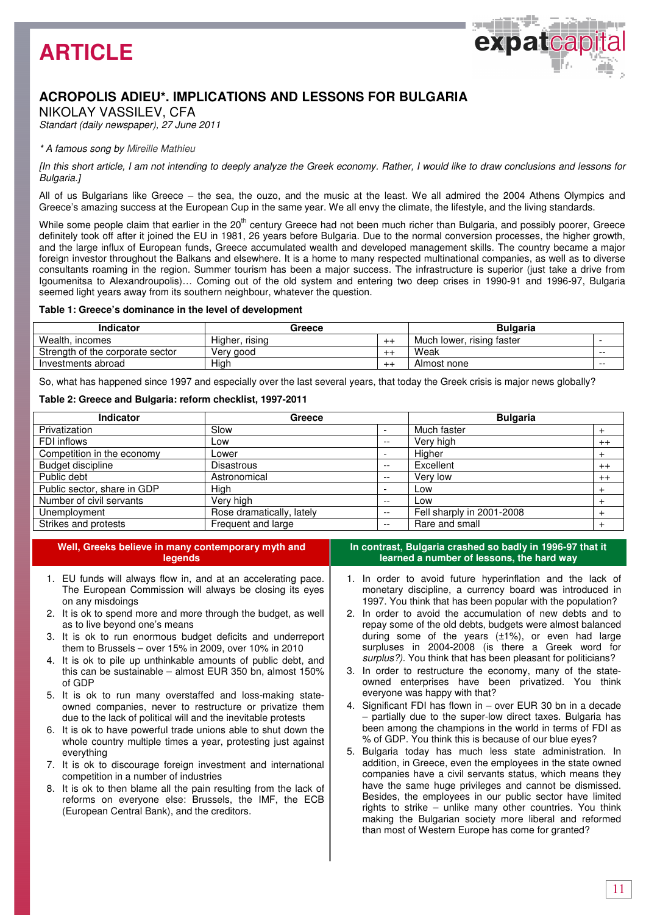

## **ACROPOLIS ADIEU\*. IMPLICATIONS AND LESSONS FOR BULGARIA**

NIKOLAY VASSILEV, CFA

Standart (daily newspaper), 27 June 2011

### \* A famous song by Mireille Mathieu

[In this short article, I am not intending to deeply analyze the Greek economy. Rather, I would like to draw conclusions and lessons for Bulgaria.]

All of us Bulgarians like Greece – the sea, the ouzo, and the music at the least. We all admired the 2004 Athens Olympics and Greece's amazing success at the European Cup in the same year. We all envy the climate, the lifestyle, and the living standards.

While some people claim that earlier in the 20<sup>th</sup> century Greece had not been much richer than Bulgaria, and possibly poorer, Greece definitely took off after it joined the EU in 1981, 26 years before Bulgaria. Due to the normal conversion processes, the higher growth, and the large influx of European funds, Greece accumulated wealth and developed management skills. The country became a major foreign investor throughout the Balkans and elsewhere. It is a home to many respected multinational companies, as well as to diverse consultants roaming in the region. Summer tourism has been a major success. The infrastructure is superior (just take a drive from Igoumenitsa to Alexandroupolis)… Coming out of the old system and entering two deep crises in 1990-91 and 1996-97, Bulgaria seemed light years away from its southern neighbour, whatever the question.

### **Table 1: Greece's dominance in the level of development**

| Indicator                        | Greece         |     | <b>Bulgaria</b>           |       |
|----------------------------------|----------------|-----|---------------------------|-------|
| Wealth, incomes                  | Higher, rising | --- | Much lower, rising faster |       |
| Strength of the corporate sector | Very good      | --- | Weak                      | $- -$ |
| Investments abroad               | High           | --- | Almost none               | $- -$ |

So, what has happened since 1997 and especially over the last several years, that today the Greek crisis is major news globally?

### **Table 2: Greece and Bulgaria: reform checklist, 1997-2011**

| <b>Indicator</b>            | Greece                    |       | <b>Bulgaria</b>           |           |
|-----------------------------|---------------------------|-------|---------------------------|-----------|
| Privatization               | Slow                      |       | Much faster               |           |
| FDI inflows                 | Low                       | $- -$ | Very high                 | $++$      |
| Competition in the economy  | Lower                     |       | Higher                    |           |
| Budget discipline           | <b>Disastrous</b>         | $- -$ | Excellent                 | $++$      |
| Public debt                 | Astronomical              | $- -$ | Very low                  | $++$      |
| Public sector, share in GDP | High                      |       | Low                       | $\ddot{}$ |
| Number of civil servants    | Very high                 | $- -$ | Low                       |           |
| Unemployment                | Rose dramatically, lately | $-$   | Fell sharply in 2001-2008 | $\pm$     |
| Strikes and protests        | Frequent and large        | $- -$ | Rare and small            |           |

| Well, Greeks believe in many contemporary myth and<br><b>legends</b>                                                                         | In contrast, Bulgaria crashed so badly in 199<br>learned a number of lessons, the hard                                                      |
|----------------------------------------------------------------------------------------------------------------------------------------------|---------------------------------------------------------------------------------------------------------------------------------------------|
| 1. EU funds will always flow in, and at an accelerating pace.<br>The European Commission will always be closing its eyes<br>on any misdoings | 1. In order to avoid future hyperinflation an<br>monetary discipline, a currency board was<br>1997. You think that has been popular with th |
| 2. It is ok to spend more and more through the budget, as well<br>as to live beyond one's means                                              | 2. In order to avoid the accumulation of new<br>repay some of the old debts, budgets were a                                                 |
| 3. It is ok to run enormous budget deficits and underreport<br>them to Brussels - over 15% in 2009, over 10% in 2010                         | during some of the years $(\pm 1\%)$ , or ev<br>surpluses in 2004-2008 (is there a Gr                                                       |

- 4. It is ok to pile up unthinkable amounts of public debt, and this can be sustainable – almost EUR 350 bn, almost 150% of GDP
- 5. It is ok to run many overstaffed and loss-making stateowned companies, never to restructure or privatize them due to the lack of political will and the inevitable protests
- 6. It is ok to have powerful trade unions able to shut down the whole country multiple times a year, protesting just against everything
- 7. It is ok to discourage foreign investment and international competition in a number of industries
- 8. It is ok to then blame all the pain resulting from the lack of reforms on everyone else: Brussels, the IMF, the ECB (European Central Bank), and the creditors.

**I**6-97 that it **learned a number of lessons, the hard way** 

- nd the lack of s introduced in 1e population?
- $\nu$  debts and to Imost balanced en had large eek word for surplus?). You think that has been pleasant for politicians?
- 3. In order to restructure the economy, many of the stateowned enterprises have been privatized. You think everyone was happy with that?
- 4. Significant FDI has flown in over EUR 30 bn in a decade – partially due to the super-low direct taxes. Bulgaria has been among the champions in the world in terms of FDI as % of GDP. You think this is because of our blue eyes?
- 5. Bulgaria today has much less state administration. In addition, in Greece, even the employees in the state owned companies have a civil servants status, which means they have the same huge privileges and cannot be dismissed. Besides, the employees in our public sector have limited rights to strike – unlike many other countries. You think making the Bulgarian society more liberal and reformed than most of Western Europe has come for granted?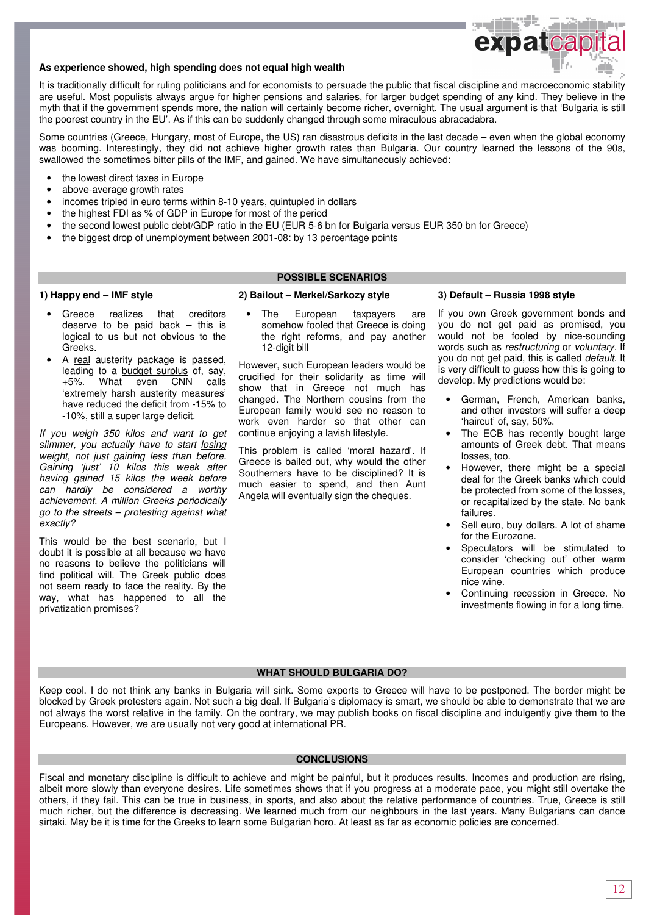

### **As experience showed, high spending does not equal high wealth**

It is traditionally difficult for ruling politicians and for economists to persuade the public that fiscal discipline and macroeconomic stability are useful. Most populists always argue for higher pensions and salaries, for larger budget spending of any kind. They believe in the myth that if the government spends more, the nation will certainly become richer, overnight. The usual argument is that 'Bulgaria is still the poorest country in the EU'. As if this can be suddenly changed through some miraculous abracadabra.

Some countries (Greece, Hungary, most of Europe, the US) ran disastrous deficits in the last decade – even when the global economy was booming. Interestingly, they did not achieve higher growth rates than Bulgaria. Our country learned the lessons of the 90s, swallowed the sometimes bitter pills of the IMF, and gained. We have simultaneously achieved:

- the lowest direct taxes in Europe
- above-average growth rates
- incomes tripled in euro terms within 8-10 years, quintupled in dollars
- the highest FDI as % of GDP in Europe for most of the period
- the second lowest public debt/GDP ratio in the EU (EUR 5-6 bn for Bulgaria versus EUR 350 bn for Greece)
- the biggest drop of unemployment between 2001-08: by 13 percentage points

### **1) Happy end – IMF style**

#### Greece realizes that creditors deserve to be paid back – this is logical to us but not obvious to the Greeks.

• A real austerity package is passed, leading to a budget surplus of, say, +5%. What even CNN calls 'extremely harsh austerity measures' have reduced the deficit from -15% to -10%, still a super large deficit.

If you weigh 350 kilos and want to get slimmer, you actually have to start losing weight, not just gaining less than before. Gaining 'just' 10 kilos this week after having gained 15 kilos the week before can hardly be considered a worthy achievement. A million Greeks periodically go to the streets – protesting against what exactly?

This would be the best scenario, but I doubt it is possible at all because we have no reasons to believe the politicians will find political will. The Greek public does not seem ready to face the reality. By the way, what has happened to all the privatization promises?

#### **2) Bailout – Merkel/Sarkozy style**

The European taxpayers are somehow fooled that Greece is doing the right reforms, and pay another 12-digit bill

**POSSIBLE SCENARIOS** 

However, such European leaders would be crucified for their solidarity as time will show that in Greece not much has changed. The Northern cousins from the European family would see no reason to work even harder so that other can continue enjoying a lavish lifestyle.

This problem is called 'moral hazard'. If Greece is bailed out, why would the other Southerners have to be disciplined? It is much easier to spend, and then Aunt Angela will eventually sign the cheques.

#### **3) Default – Russia 1998 style**

If you own Greek government bonds and you do not get paid as promised, you would not be fooled by nice-sounding words such as restructuring or voluntary. If you do not get paid, this is called default. It is very difficult to guess how this is going to develop. My predictions would be:

- German, French, American banks, and other investors will suffer a deep 'haircut' of, say, 50%.
- The ECB has recently bought large amounts of Greek debt. That means losses, too.
- However, there might be a special deal for the Greek banks which could be protected from some of the losses, or recapitalized by the state. No bank failures.
- Sell euro, buy dollars. A lot of shame for the Eurozone.
- Speculators will be stimulated to consider 'checking out' other warm European countries which produce nice wine.
- Continuing recession in Greece. No investments flowing in for a long time.

### **WHAT SHOULD BULGARIA DO?**

Keep cool. I do not think any banks in Bulgaria will sink. Some exports to Greece will have to be postponed. The border might be blocked by Greek protesters again. Not such a big deal. If Bulgaria's diplomacy is smart, we should be able to demonstrate that we are not always the worst relative in the family. On the contrary, we may publish books on fiscal discipline and indulgently give them to the Europeans. However, we are usually not very good at international PR.

### **CONCLUSIONS**

Fiscal and monetary discipline is difficult to achieve and might be painful, but it produces results. Incomes and production are rising, albeit more slowly than everyone desires. Life sometimes shows that if you progress at a moderate pace, you might still overtake the others, if they fail. This can be true in business, in sports, and also about the relative performance of countries. True, Greece is still much richer, but the difference is decreasing. We learned much from our neighbours in the last years. Many Bulgarians can dance sirtaki. May be it is time for the Greeks to learn some Bulgarian horo. At least as far as economic policies are concerned.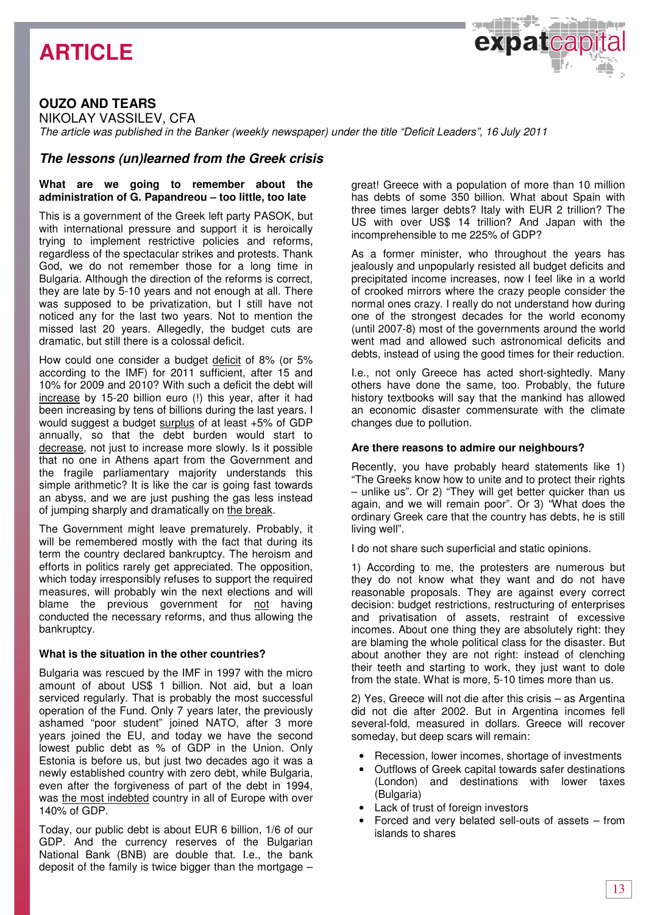## **ARTICLE**

## **OUZO AND TEARS**

NIKOLAY VASSILEV, CFA

The article was published in the Banker (weekly newspaper) under the title "Deficit Leaders", 16 July 2011

### **The lessons (un)learned from the Greek crisis**

### **What are we going to remember about the administration of G. Papandreou – too little, too late**

This is a government of the Greek left party PASOK, but with international pressure and support it is heroically trying to implement restrictive policies and reforms, regardless of the spectacular strikes and protests. Thank God, we do not remember those for a long time in Bulgaria. Although the direction of the reforms is correct, they are late by 5-10 years and not enough at all. There was supposed to be privatization, but I still have not noticed any for the last two years. Not to mention the missed last 20 years. Allegedly, the budget cuts are dramatic, but still there is a colossal deficit.

How could one consider a budget deficit of 8% (or 5% according to the IMF) for 2011 sufficient, after 15 and 10% for 2009 and 2010? With such a deficit the debt will increase by 15-20 billion euro (!) this year, after it had been increasing by tens of billions during the last years. I would suggest a budget surplus of at least +5% of GDP annually, so that the debt burden would start to decrease, not just to increase more slowly. Is it possible that no one in Athens apart from the Government and the fragile parliamentary majority understands this simple arithmetic? It is like the car is going fast towards an abyss, and we are just pushing the gas less instead of jumping sharply and dramatically on the break.

The Government might leave prematurely. Probably, it will be remembered mostly with the fact that during its term the country declared bankruptcy. The heroism and efforts in politics rarely get appreciated. The opposition, which today irresponsibly refuses to support the required measures, will probably win the next elections and will blame the previous government for not having conducted the necessary reforms, and thus allowing the bankruptcy.

### **What is the situation in the other countries?**

Bulgaria was rescued by the IMF in 1997 with the micro amount of about US\$ 1 billion. Not aid, but a loan serviced regularly. That is probably the most successful operation of the Fund. Only 7 years later, the previously ashamed "poor student" joined NATO, after 3 more years joined the EU, and today we have the second lowest public debt as % of GDP in the Union. Only Estonia is before us, but just two decades ago it was a newly established country with zero debt, while Bulgaria, even after the forgiveness of part of the debt in 1994, was the most indebted country in all of Europe with over 140% of GDP.

Today, our public debt is about EUR 6 billion, 1/6 of our GDP. And the currency reserves of the Bulgarian National Bank (BNB) are double that. I.e., the bank deposit of the family is twice bigger than the mortgage –

great! Greece with a population of more than 10 million has debts of some 350 billion. What about Spain with three times larger debts? Italy with EUR 2 trillion? The US with over US\$ 14 trillion? And Japan with the incomprehensible to me 225% of GDP?

expatcap

As a former minister, who throughout the years has jealously and unpopularly resisted all budget deficits and precipitated income increases, now I feel like in a world of crooked mirrors where the crazy people consider the normal ones crazy. I really do not understand how during one of the strongest decades for the world economy (until 2007-8) most of the governments around the world went mad and allowed such astronomical deficits and debts, instead of using the good times for their reduction.

I.e., not only Greece has acted short-sightedly. Many others have done the same, too. Probably, the future history textbooks will say that the mankind has allowed an economic disaster commensurate with the climate changes due to pollution.

### **Are there reasons to admire our neighbours?**

Recently, you have probably heard statements like 1) "The Greeks know how to unite and to protect their rights – unlike us". Or 2) "They will get better quicker than us again, and we will remain poor". Or 3) "What does the ordinary Greek care that the country has debts, he is still living well".

I do not share such superficial and static opinions.

1) According to me, the protesters are numerous but they do not know what they want and do not have reasonable proposals. They are against every correct decision: budget restrictions, restructuring of enterprises and privatisation of assets, restraint of excessive incomes. About one thing they are absolutely right: they are blaming the whole political class for the disaster. But about another they are not right: instead of clenching their teeth and starting to work, they just want to dole from the state. What is more, 5-10 times more than us.

2) Yes, Greece will not die after this crisis – as Argentina did not die after 2002. But in Argentina incomes fell several-fold, measured in dollars. Greece will recover someday, but deep scars will remain:

- Recession, lower incomes, shortage of investments
- Outflows of Greek capital towards safer destinations (London) and destinations with lower taxes (Bulgaria)
- Lack of trust of foreign investors
- Forced and very belated sell-outs of assets from islands to shares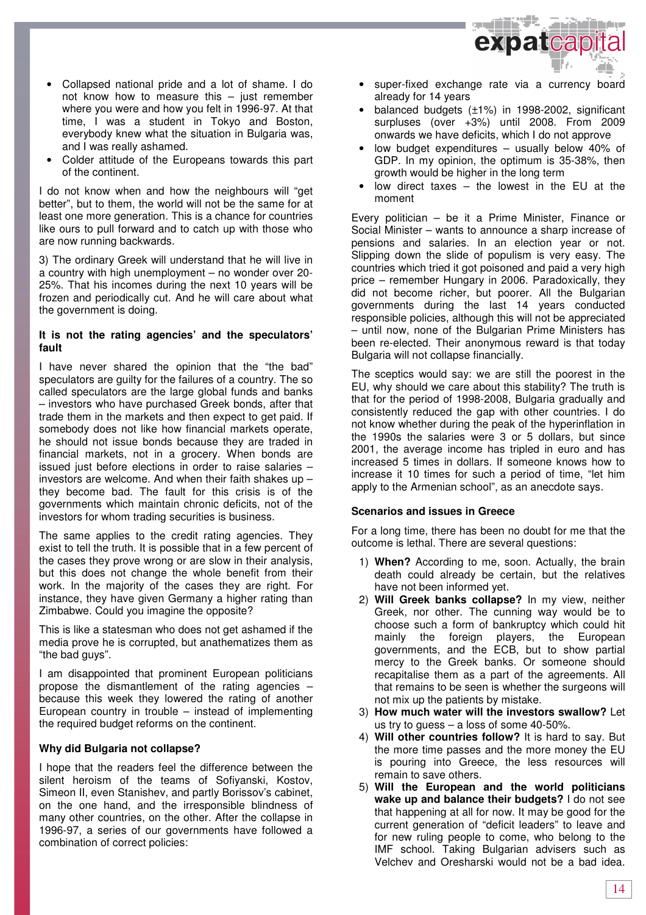

- Collapsed national pride and a lot of shame. I do not know how to measure this – just remember where you were and how you felt in 1996-97. At that time, I was a student in Tokyo and Boston, everybody knew what the situation in Bulgaria was, and I was really ashamed.
- Colder attitude of the Europeans towards this part of the continent.

I do not know when and how the neighbours will "get better", but to them, the world will not be the same for at least one more generation. This is a chance for countries like ours to pull forward and to catch up with those who are now running backwards.

3) The ordinary Greek will understand that he will live in a country with high unemployment – no wonder over 20- 25%. That his incomes during the next 10 years will be frozen and periodically cut. And he will care about what the government is doing.

### **It is not the rating agencies' and the speculators' fault**

I have never shared the opinion that the "the bad" speculators are guilty for the failures of a country. The so called speculators are the large global funds and banks – investors who have purchased Greek bonds, after that trade them in the markets and then expect to get paid. If somebody does not like how financial markets operate, he should not issue bonds because they are traded in financial markets, not in a grocery. When bonds are issued just before elections in order to raise salaries – investors are welcome. And when their faith shakes up – they become bad. The fault for this crisis is of the governments which maintain chronic deficits, not of the investors for whom trading securities is business.

The same applies to the credit rating agencies. They exist to tell the truth. It is possible that in a few percent of the cases they prove wrong or are slow in their analysis, but this does not change the whole benefit from their work. In the majority of the cases they are right. For instance, they have given Germany a higher rating than Zimbabwe. Could you imagine the opposite?

This is like a statesman who does not get ashamed if the media prove he is corrupted, but anathematizes them as "the bad guys".

I am disappointed that prominent European politicians propose the dismantlement of the rating agencies – because this week they lowered the rating of another European country in trouble – instead of implementing the required budget reforms on the continent.

### **Why did Bulgaria not collapse?**

I hope that the readers feel the difference between the silent heroism of the teams of Sofiyanski, Kostov, Simeon II, even Stanishev, and partly Borissov's cabinet, on the one hand, and the irresponsible blindness of many other countries, on the other. After the collapse in 1996-97, a series of our governments have followed a combination of correct policies:

- super-fixed exchange rate via a currency board already for 14 years
- balanced budgets  $(\pm 1\%)$  in 1998-2002, significant surpluses (over +3%) until 2008. From 2009 onwards we have deficits, which I do not approve
- low budget expenditures usually below 40% of GDP. In my opinion, the optimum is 35-38%, then growth would be higher in the long term
- low direct taxes  $-$  the lowest in the EU at the moment

Every politician – be it a Prime Minister, Finance or Social Minister – wants to announce a sharp increase of pensions and salaries. In an election year or not. Slipping down the slide of populism is very easy. The countries which tried it got poisoned and paid a very high price – remember Hungary in 2006. Paradoxically, they did not become richer, but poorer. All the Bulgarian governments during the last 14 years conducted responsible policies, although this will not be appreciated – until now, none of the Bulgarian Prime Ministers has been re-elected. Their anonymous reward is that today Bulgaria will not collapse financially.

The sceptics would say: we are still the poorest in the EU, why should we care about this stability? The truth is that for the period of 1998-2008, Bulgaria gradually and consistently reduced the gap with other countries. I do not know whether during the peak of the hyperinflation in the 1990s the salaries were 3 or 5 dollars, but since 2001, the average income has tripled in euro and has increased 5 times in dollars. If someone knows how to increase it 10 times for such a period of time, "let him apply to the Armenian school", as an anecdote says.

### **Scenarios and issues in Greece**

For a long time, there has been no doubt for me that the outcome is lethal. There are several questions:

- 1) **When?** According to me, soon. Actually, the brain death could already be certain, but the relatives have not been informed yet.
- 2) **Will Greek banks collapse?** In my view, neither Greek, nor other. The cunning way would be to choose such a form of bankruptcy which could hit mainly the foreign players, the European governments, and the ECB, but to show partial mercy to the Greek banks. Or someone should recapitalise them as a part of the agreements. All that remains to be seen is whether the surgeons will not mix up the patients by mistake.
- 3) **How much water will the investors swallow?** Let us try to guess – a loss of some 40-50%.
- 4) **Will other countries follow?** It is hard to say. But the more time passes and the more money the EU is pouring into Greece, the less resources will remain to save others.
- 5) **Will the European and the world politicians wake up and balance their budgets?** I do not see that happening at all for now. It may be good for the current generation of "deficit leaders" to leave and for new ruling people to come, who belong to the IMF school. Taking Bulgarian advisers such as Velchev and Oresharski would not be a bad idea.